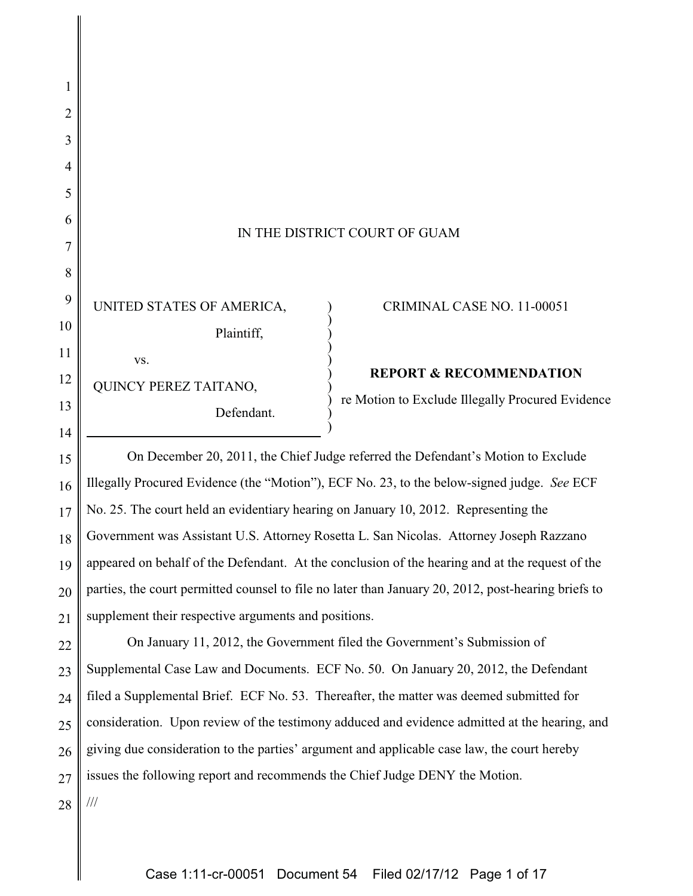| IN THE DISTRICT COURT OF GUAM |
|-------------------------------|
|-------------------------------|

) ) ) ) ) ) ) ) ) )

UNITED STATES OF AMERICA, Plaintiff, vs. QUINCY PEREZ TAITANO,

Defendant.

#### CRIMINAL CASE NO. 11-00051

### **REPORT & RECOMMENDATION**

re Motion to Exclude Illegally Procured Evidence

15 16 17 18 19 20 21 On December 20, 2011, the Chief Judge referred the Defendant's Motion to Exclude Illegally Procured Evidence (the "Motion"), ECF No. 23, to the below-signed judge. *See* ECF No. 25. The court held an evidentiary hearing on January 10, 2012. Representing the Government was Assistant U.S. Attorney Rosetta L. San Nicolas. Attorney Joseph Razzano appeared on behalf of the Defendant. At the conclusion of the hearing and at the request of the parties, the court permitted counsel to file no later than January 20, 2012, post-hearing briefs to supplement their respective arguments and positions.

22 23 24 25 26 27 On January 11, 2012, the Government filed the Government's Submission of Supplemental Case Law and Documents. ECF No. 50. On January 20, 2012, the Defendant filed a Supplemental Brief. ECF No. 53. Thereafter, the matter was deemed submitted for consideration. Upon review of the testimony adduced and evidence admitted at the hearing, and giving due consideration to the parties' argument and applicable case law, the court hereby issues the following report and recommends the Chief Judge DENY the Motion.

28

///

1

2

3

4

5

6

7

8

9

10

11

12

13

14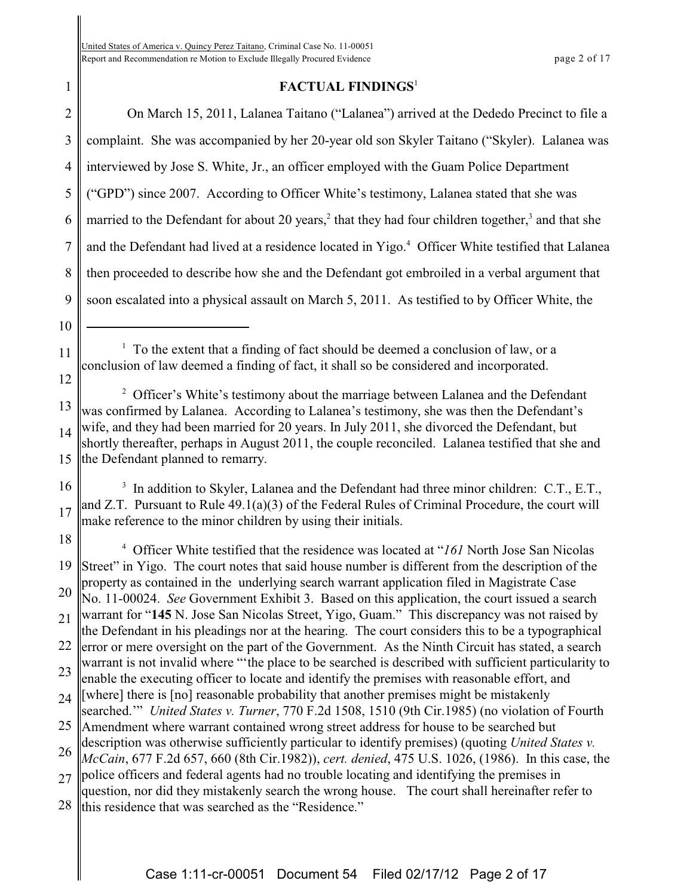1

# **FACTUAL FINDINGS**<sup>1</sup>

2 3 4 5 6 7 8 9 10 11 12 13 14 15 16 17 18 19 20 21 22 23 24 25 26 27 28 On March 15, 2011, Lalanea Taitano ("Lalanea") arrived at the Dededo Precinct to file a complaint. She was accompanied by her 20-year old son Skyler Taitano ("Skyler). Lalanea was interviewed by Jose S. White, Jr., an officer employed with the Guam Police Department ("GPD") since 2007. According to Officer White's testimony, Lalanea stated that she was married to the Defendant for about 20 years,<sup>2</sup> that they had four children together,<sup>3</sup> and that she and the Defendant had lived at a residence located in Yigo.<sup>4</sup> Officer White testified that Lalanea then proceeded to describe how she and the Defendant got embroiled in a verbal argument that soon escalated into a physical assault on March 5, 2011. As testified to by Officer White, the  $1$  To the extent that a finding of fact should be deemed a conclusion of law, or a conclusion of law deemed a finding of fact, it shall so be considered and incorporated. <sup>2</sup> Officer's White's testimony about the marriage between Lalanea and the Defendant was confirmed by Lalanea. According to Lalanea's testimony, she was then the Defendant's wife, and they had been married for 20 years. In July 2011, she divorced the Defendant, but shortly thereafter, perhaps in August 2011, the couple reconciled. Lalanea testified that she and the Defendant planned to remarry. <sup>3</sup> In addition to Skyler, Lalanea and the Defendant had three minor children: C.T., E.T., and Z.T. Pursuant to Rule 49.1(a)(3) of the Federal Rules of Criminal Procedure, the court will make reference to the minor children by using their initials. <sup>4</sup> Officer White testified that the residence was located at "161 North Jose San Nicolas Street" in Yigo. The court notes that said house number is different from the description of the property as contained in the underlying search warrant application filed in Magistrate Case No. 11-00024. *See* Government Exhibit 3. Based on this application, the court issued a search warrant for "**145** N. Jose San Nicolas Street, Yigo, Guam." This discrepancy was not raised by the Defendant in his pleadings nor at the hearing. The court considers this to be a typographical error or mere oversight on the part of the Government. As the Ninth Circuit has stated, a search warrant is not invalid where "'the place to be searched is described with sufficient particularity to enable the executing officer to locate and identify the premises with reasonable effort, and [where] there is [no] reasonable probability that another premises might be mistakenly searched.'" *United States v. Turner*, 770 F.2d 1508, 1510 (9th Cir.1985) (no violation of Fourth Amendment where warrant contained wrong street address for house to be searched but description was otherwise sufficiently particular to identify premises) (quoting *United States v. McCain*, 677 F.2d 657, 660 (8th Cir.1982)), *cert. denied*, 475 U.S. 1026, (1986). In this case, the police officers and federal agents had no trouble locating and identifying the premises in question, nor did they mistakenly search the wrong house. The court shall hereinafter refer to this residence that was searched as the "Residence."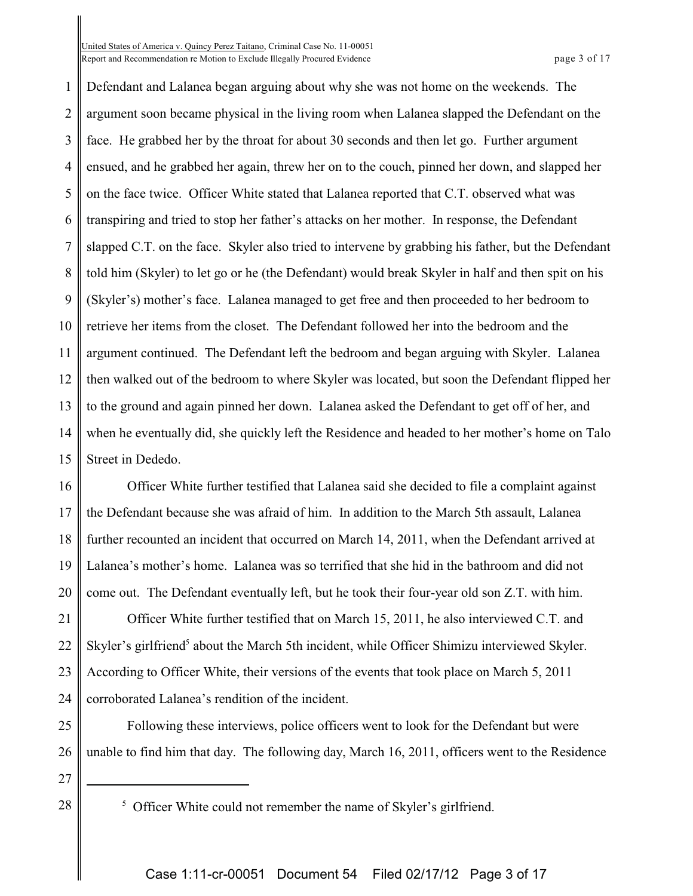United States of America v. Quincy Perez Taitano, Criminal Case No. 11-00051 Report and Recommendation re Motion to Exclude Illegally Procured Evidence **page 1** and Recommendation re Motion to Exclude Illegally Procured Evidence

1 2 3 4 5 6 7 8 9 10 11 12 13 14 15 Defendant and Lalanea began arguing about why she was not home on the weekends. The argument soon became physical in the living room when Lalanea slapped the Defendant on the face. He grabbed her by the throat for about 30 seconds and then let go. Further argument ensued, and he grabbed her again, threw her on to the couch, pinned her down, and slapped her on the face twice. Officer White stated that Lalanea reported that C.T. observed what was transpiring and tried to stop her father's attacks on her mother. In response, the Defendant slapped C.T. on the face. Skyler also tried to intervene by grabbing his father, but the Defendant told him (Skyler) to let go or he (the Defendant) would break Skyler in half and then spit on his (Skyler's) mother's face. Lalanea managed to get free and then proceeded to her bedroom to retrieve her items from the closet. The Defendant followed her into the bedroom and the argument continued. The Defendant left the bedroom and began arguing with Skyler. Lalanea then walked out of the bedroom to where Skyler was located, but soon the Defendant flipped her to the ground and again pinned her down. Lalanea asked the Defendant to get off of her, and when he eventually did, she quickly left the Residence and headed to her mother's home on Talo Street in Dededo.

16 17 18 19 20 Officer White further testified that Lalanea said she decided to file a complaint against the Defendant because she was afraid of him. In addition to the March 5th assault, Lalanea further recounted an incident that occurred on March 14, 2011, when the Defendant arrived at Lalanea's mother's home. Lalanea was so terrified that she hid in the bathroom and did not come out. The Defendant eventually left, but he took their four-year old son Z.T. with him.

21 22 23 24 Officer White further testified that on March 15, 2011, he also interviewed C.T. and Skyler's girlfriend<sup>5</sup> about the March 5th incident, while Officer Shimizu interviewed Skyler. According to Officer White, their versions of the events that took place on March 5, 2011 corroborated Lalanea's rendition of the incident.

25 26 Following these interviews, police officers went to look for the Defendant but were unable to find him that day. The following day, March 16, 2011, officers went to the Residence

- 27
- 28

<sup>&</sup>lt;sup>5</sup> Officer White could not remember the name of Skyler's girlfriend.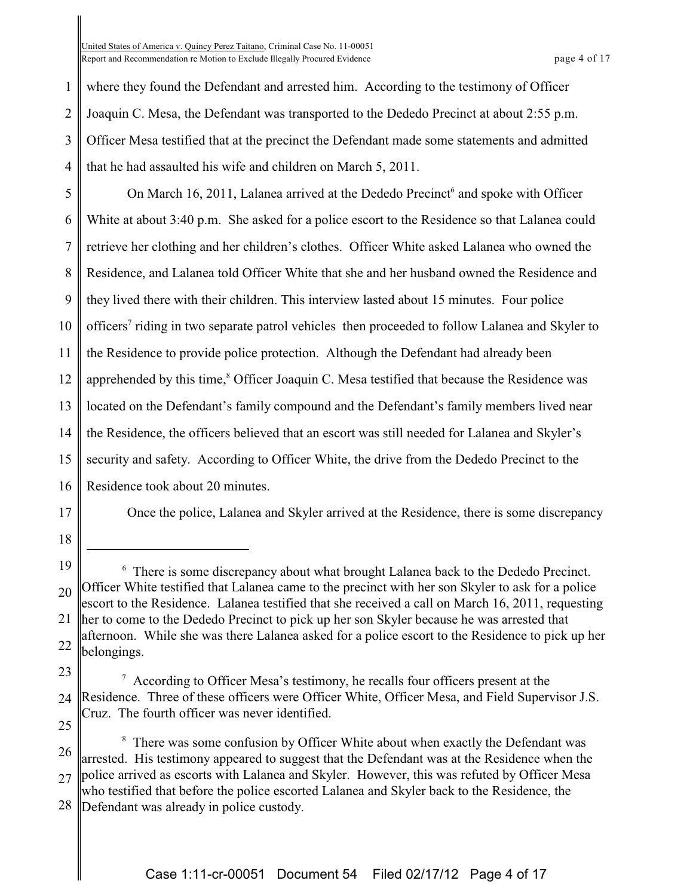United States of America v. Quincy Perez Taitano, Criminal Case No. 11-00051 Report and Recommendation re Motion to Exclude Illegally Procured Evidence **page 1** of 17

1 2 3 4 where they found the Defendant and arrested him. According to the testimony of Officer Joaquin C. Mesa, the Defendant was transported to the Dededo Precinct at about 2:55 p.m. Officer Mesa testified that at the precinct the Defendant made some statements and admitted that he had assaulted his wife and children on March 5, 2011.

5 6 7 8 9 10 11 12 13 14 15 16 On March 16, 2011, Lalanea arrived at the Dededo Precinct<sup>6</sup> and spoke with Officer White at about 3:40 p.m. She asked for a police escort to the Residence so that Lalanea could retrieve her clothing and her children's clothes. Officer White asked Lalanea who owned the Residence, and Lalanea told Officer White that she and her husband owned the Residence and they lived there with their children. This interview lasted about 15 minutes. Four police officers<sup>7</sup> riding in two separate patrol vehicles then proceeded to follow Lalanea and Skyler to the Residence to provide police protection. Although the Defendant had already been apprehended by this time, $\delta$  Officer Joaquin C. Mesa testified that because the Residence was located on the Defendant's family compound and the Defendant's family members lived near the Residence, the officers believed that an escort was still needed for Lalanea and Skyler's security and safety. According to Officer White, the drive from the Dededo Precinct to the Residence took about 20 minutes.

17

Once the police, Lalanea and Skyler arrived at the Residence, there is some discrepancy

18

25

<sup>19</sup> 20 21 22 There is some discrepancy about what brought Lalanea back to the Dededo Precinct. 6 Officer White testified that Lalanea came to the precinct with her son Skyler to ask for a police escort to the Residence. Lalanea testified that she received a call on March 16, 2011, requesting her to come to the Dededo Precinct to pick up her son Skyler because he was arrested that afternoon. While she was there Lalanea asked for a police escort to the Residence to pick up her belongings.

<sup>23</sup> 24  $\alpha$  According to Officer Mesa's testimony, he recalls four officers present at the Residence. Three of these officers were Officer White, Officer Mesa, and Field Supervisor J.S. Cruz. The fourth officer was never identified.

<sup>26</sup> 27 <sup>8</sup> There was some confusion by Officer White about when exactly the Defendant was arrested. His testimony appeared to suggest that the Defendant was at the Residence when the police arrived as escorts with Lalanea and Skyler. However, this was refuted by Officer Mesa who testified that before the police escorted Lalanea and Skyler back to the Residence, the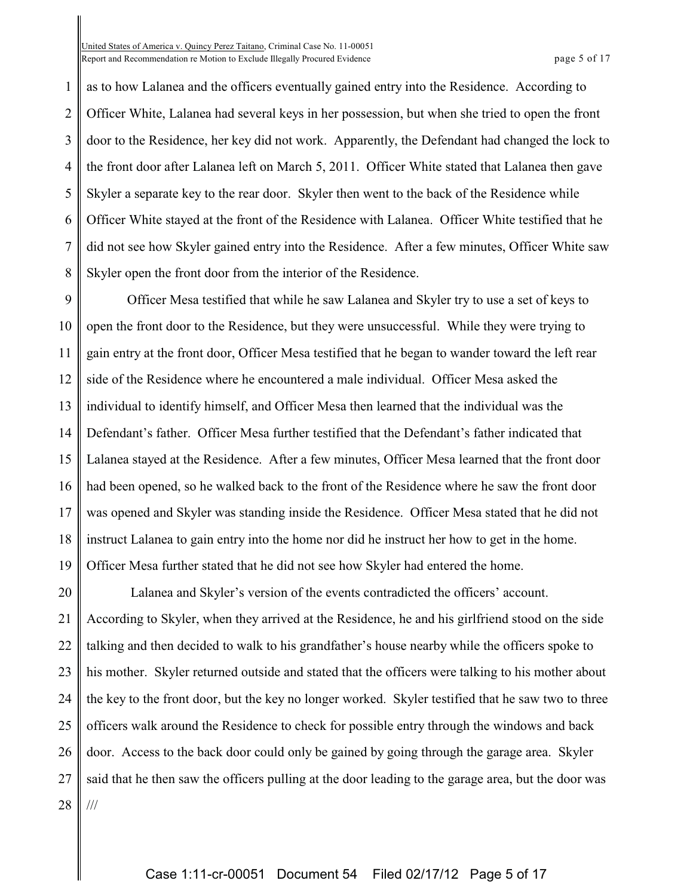United States of America v. Quincy Perez Taitano, Criminal Case No. 11-00051 Report and Recommendation re Motion to Exclude Illegally Procured Evidence **page 1** and Recommendation re Motion to Exclude Illegally Procured Evidence

1 2 3 4 5 6 7 8 as to how Lalanea and the officers eventually gained entry into the Residence. According to Officer White, Lalanea had several keys in her possession, but when she tried to open the front door to the Residence, her key did not work. Apparently, the Defendant had changed the lock to the front door after Lalanea left on March 5, 2011. Officer White stated that Lalanea then gave Skyler a separate key to the rear door. Skyler then went to the back of the Residence while Officer White stayed at the front of the Residence with Lalanea. Officer White testified that he did not see how Skyler gained entry into the Residence. After a few minutes, Officer White saw Skyler open the front door from the interior of the Residence.

9 10 11 12 13 14 15 16 17 18 19 Officer Mesa testified that while he saw Lalanea and Skyler try to use a set of keys to open the front door to the Residence, but they were unsuccessful. While they were trying to gain entry at the front door, Officer Mesa testified that he began to wander toward the left rear side of the Residence where he encountered a male individual. Officer Mesa asked the individual to identify himself, and Officer Mesa then learned that the individual was the Defendant's father. Officer Mesa further testified that the Defendant's father indicated that Lalanea stayed at the Residence. After a few minutes, Officer Mesa learned that the front door had been opened, so he walked back to the front of the Residence where he saw the front door was opened and Skyler was standing inside the Residence. Officer Mesa stated that he did not instruct Lalanea to gain entry into the home nor did he instruct her how to get in the home. Officer Mesa further stated that he did not see how Skyler had entered the home.

20 21 22 23 24 25 26 27 28 Lalanea and Skyler's version of the events contradicted the officers' account. According to Skyler, when they arrived at the Residence, he and his girlfriend stood on the side talking and then decided to walk to his grandfather's house nearby while the officers spoke to his mother. Skyler returned outside and stated that the officers were talking to his mother about the key to the front door, but the key no longer worked. Skyler testified that he saw two to three officers walk around the Residence to check for possible entry through the windows and back door. Access to the back door could only be gained by going through the garage area. Skyler said that he then saw the officers pulling at the door leading to the garage area, but the door was ///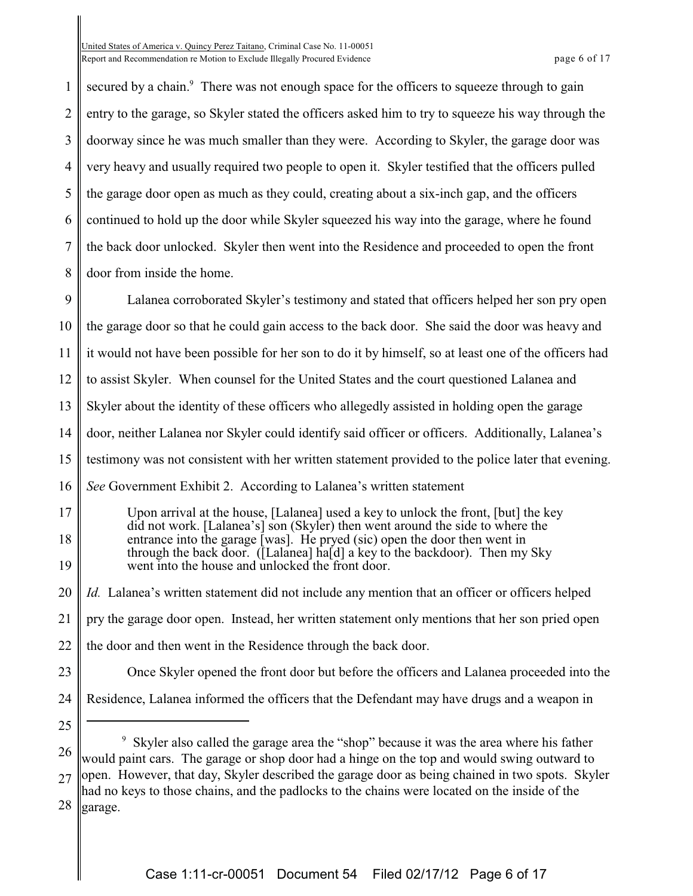United States of America v. Quincy Perez Taitano, Criminal Case No. 11-00051 Report and Recommendation re Motion to Exclude Illegally Procured Evidence **page 6 of 17** and  $P$  page 6 of 17

1 2 3 4 5 6 7 8 secured by a chain.<sup>9</sup> There was not enough space for the officers to squeeze through to gain entry to the garage, so Skyler stated the officers asked him to try to squeeze his way through the doorway since he was much smaller than they were. According to Skyler, the garage door was very heavy and usually required two people to open it. Skyler testified that the officers pulled the garage door open as much as they could, creating about a six-inch gap, and the officers continued to hold up the door while Skyler squeezed his way into the garage, where he found the back door unlocked. Skyler then went into the Residence and proceeded to open the front door from inside the home.

9 10 11 12 13 14 15 16 Lalanea corroborated Skyler's testimony and stated that officers helped her son pry open the garage door so that he could gain access to the back door. She said the door was heavy and it would not have been possible for her son to do it by himself, so at least one of the officers had to assist Skyler. When counsel for the United States and the court questioned Lalanea and Skyler about the identity of these officers who allegedly assisted in holding open the garage door, neither Lalanea nor Skyler could identify said officer or officers. Additionally, Lalanea's testimony was not consistent with her written statement provided to the police later that evening. *See* Government Exhibit 2. According to Lalanea's written statement

17 18 19 Upon arrival at the house, [Lalanea] used a key to unlock the front, [but] the key did not work. [Lalanea's] son (Skyler) then went around the side to where the entrance into the garage [was]. He pryed (sic) open the door then went in through the back door. ([Lalanea] ha[d] a key to the backdoor). Then my Sky went into the house and unlocked the front door.

20 21 22 *Id.* Lalanea's written statement did not include any mention that an officer or officers helped pry the garage door open. Instead, her written statement only mentions that her son pried open the door and then went in the Residence through the back door.

- 23 Once Skyler opened the front door but before the officers and Lalanea proceeded into the
- 24 Residence, Lalanea informed the officers that the Defendant may have drugs and a weapon in
- 25

28 garage.

<sup>26</sup> 27 <sup>9</sup> Skyler also called the garage area the "shop" because it was the area where his father would paint cars. The garage or shop door had a hinge on the top and would swing outward to open. However, that day, Skyler described the garage door as being chained in two spots. Skyler had no keys to those chains, and the padlocks to the chains were located on the inside of the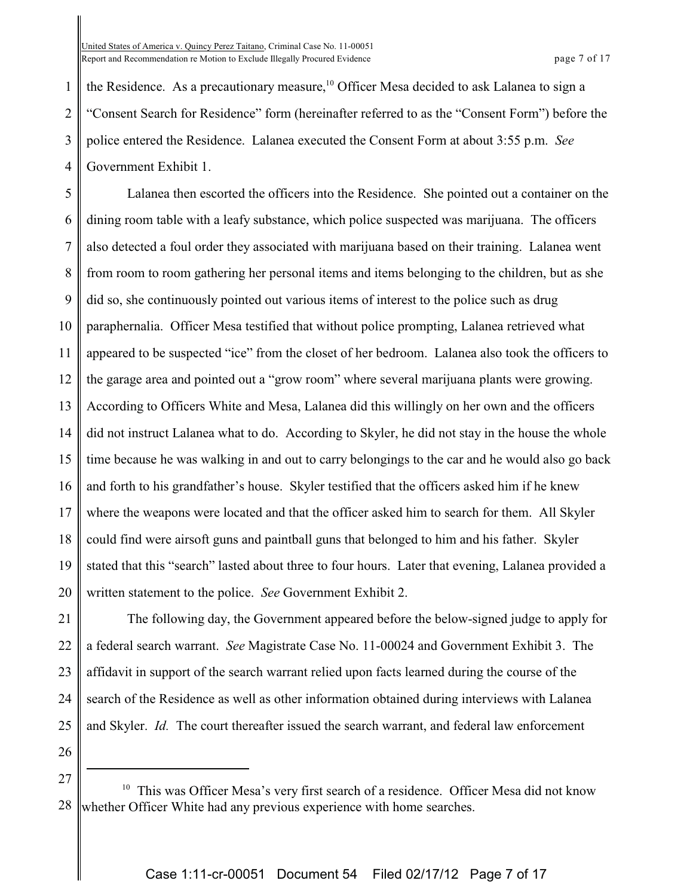United States of America v. Quincy Perez Taitano, Criminal Case No. 11-00051 Report and Recommendation re Motion to Exclude Illegally Procured Evidence **page 7** of 17

1 2 3 4 the Residence. As a precautionary measure,  $10$  Officer Mesa decided to ask Lalanea to sign a "Consent Search for Residence" form (hereinafter referred to as the "Consent Form") before the police entered the Residence. Lalanea executed the Consent Form at about 3:55 p.m. *See* Government Exhibit 1.

5 6 7 8 9 10 11 12 13 14 15 16 17 18 19 20 Lalanea then escorted the officers into the Residence. She pointed out a container on the dining room table with a leafy substance, which police suspected was marijuana. The officers also detected a foul order they associated with marijuana based on their training. Lalanea went from room to room gathering her personal items and items belonging to the children, but as she did so, she continuously pointed out various items of interest to the police such as drug paraphernalia. Officer Mesa testified that without police prompting, Lalanea retrieved what appeared to be suspected "ice" from the closet of her bedroom. Lalanea also took the officers to the garage area and pointed out a "grow room" where several marijuana plants were growing. According to Officers White and Mesa, Lalanea did this willingly on her own and the officers did not instruct Lalanea what to do. According to Skyler, he did not stay in the house the whole time because he was walking in and out to carry belongings to the car and he would also go back and forth to his grandfather's house. Skyler testified that the officers asked him if he knew where the weapons were located and that the officer asked him to search for them. All Skyler could find were airsoft guns and paintball guns that belonged to him and his father. Skyler stated that this "search" lasted about three to four hours. Later that evening, Lalanea provided a written statement to the police. *See* Government Exhibit 2.

21 22 23 24 25 The following day, the Government appeared before the below-signed judge to apply for a federal search warrant. *See* Magistrate Case No. 11-00024 and Government Exhibit 3. The affidavit in support of the search warrant relied upon facts learned during the course of the search of the Residence as well as other information obtained during interviews with Lalanea and Skyler. *Id.* The court thereafter issued the search warrant, and federal law enforcement

26 27

<sup>28</sup>  $10$  This was Officer Mesa's very first search of a residence. Officer Mesa did not know whether Officer White had any previous experience with home searches.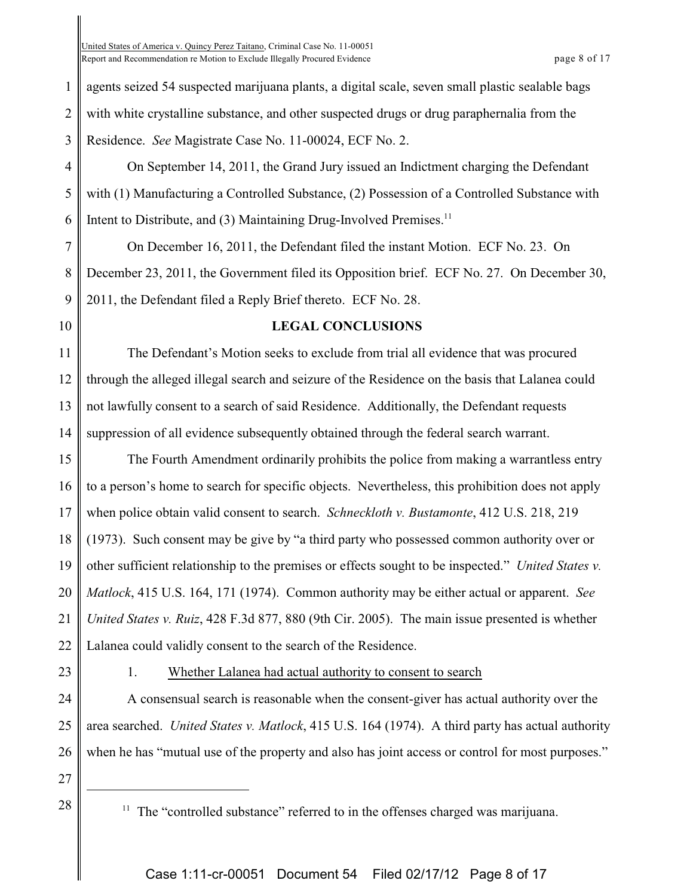United States of America v. Quincy Perez Taitano, Criminal Case No. 11-00051 Report and Recommendation re Motion to Exclude Illegally Procured Evidence **page 8 of 17** and Recommendation re Motion to Exclude Illegally Procured Evidence

1 2 3 agents seized 54 suspected marijuana plants, a digital scale, seven small plastic sealable bags with white crystalline substance, and other suspected drugs or drug paraphernalia from the Residence. *See* Magistrate Case No. 11-00024, ECF No. 2.

4 5 6 On September 14, 2011, the Grand Jury issued an Indictment charging the Defendant with (1) Manufacturing a Controlled Substance, (2) Possession of a Controlled Substance with Intent to Distribute, and  $(3)$  Maintaining Drug-Involved Premises.<sup>11</sup>

7 8 9 On December 16, 2011, the Defendant filed the instant Motion. ECF No. 23. On December 23, 2011, the Government filed its Opposition brief. ECF No. 27. On December 30, 2011, the Defendant filed a Reply Brief thereto. ECF No. 28.

10

### **LEGAL CONCLUSIONS**

11 12 13 14 The Defendant's Motion seeks to exclude from trial all evidence that was procured through the alleged illegal search and seizure of the Residence on the basis that Lalanea could not lawfully consent to a search of said Residence. Additionally, the Defendant requests suppression of all evidence subsequently obtained through the federal search warrant.

15 16 17 18 19 20 21 22 The Fourth Amendment ordinarily prohibits the police from making a warrantless entry to a person's home to search for specific objects. Nevertheless, this prohibition does not apply when police obtain valid consent to search. *Schneckloth v. Bustamonte*, 412 U.S. 218, 219 (1973). Such consent may be give by "a third party who possessed common authority over or other sufficient relationship to the premises or effects sought to be inspected." *United States v. Matlock*, 415 U.S. 164, 171 (1974). Common authority may be either actual or apparent. *See United States v. Ruiz*, 428 F.3d 877, 880 (9th Cir. 2005). The main issue presented is whether Lalanea could validly consent to the search of the Residence.

23

### 1. Whether Lalanea had actual authority to consent to search

24 25 26 A consensual search is reasonable when the consent-giver has actual authority over the area searched. *United States v. Matlock*, 415 U.S. 164 (1974). A third party has actual authority when he has "mutual use of the property and also has joint access or control for most purposes."

27

28

 $11$  The "controlled substance" referred to in the offenses charged was marijuana.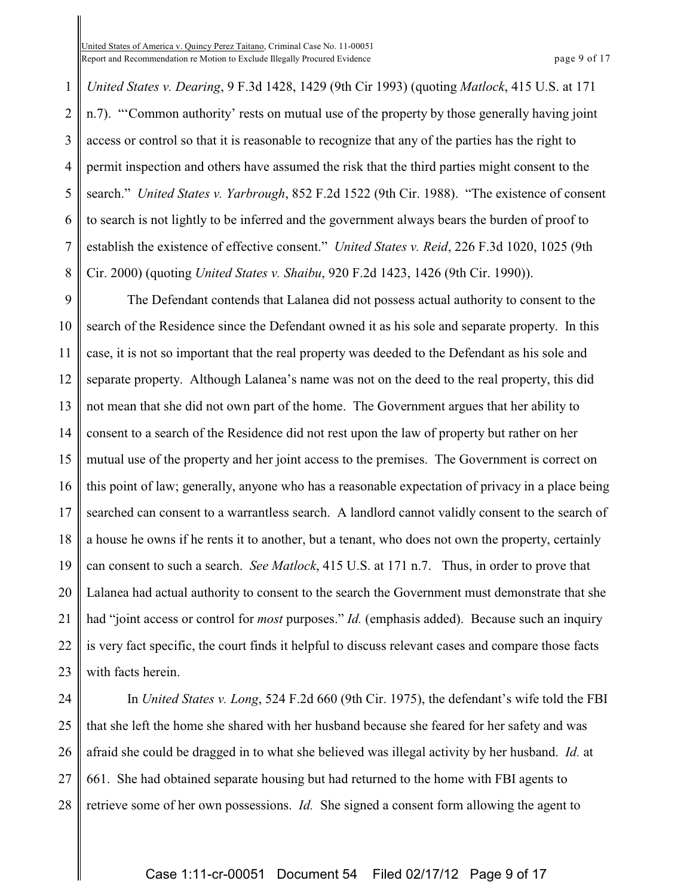1 2 3 4 5 6 7 8 *United States v. Dearing*, 9 F.3d 1428, 1429 (9th Cir 1993) (quoting *Matlock*, 415 U.S. at 171 n.7). "'Common authority' rests on mutual use of the property by those generally having joint access or control so that it is reasonable to recognize that any of the parties has the right to permit inspection and others have assumed the risk that the third parties might consent to the search." *United States v. Yarbrough*, 852 F.2d 1522 (9th Cir. 1988). "The existence of consent to search is not lightly to be inferred and the government always bears the burden of proof to establish the existence of effective consent." *United States v. Reid*, 226 F.3d 1020, 1025 (9th Cir. 2000) (quoting *United States v. Shaibu*, 920 F.2d 1423, 1426 (9th Cir. 1990)).

9 10 11 12 13 14 15 16 17 18 19 20 21 22 23 The Defendant contends that Lalanea did not possess actual authority to consent to the search of the Residence since the Defendant owned it as his sole and separate property. In this case, it is not so important that the real property was deeded to the Defendant as his sole and separate property. Although Lalanea's name was not on the deed to the real property, this did not mean that she did not own part of the home. The Government argues that her ability to consent to a search of the Residence did not rest upon the law of property but rather on her mutual use of the property and her joint access to the premises. The Government is correct on this point of law; generally, anyone who has a reasonable expectation of privacy in a place being searched can consent to a warrantless search. A landlord cannot validly consent to the search of a house he owns if he rents it to another, but a tenant, who does not own the property, certainly can consent to such a search. *See Matlock*, 415 U.S. at 171 n.7. Thus, in order to prove that Lalanea had actual authority to consent to the search the Government must demonstrate that she had "joint access or control for *most* purposes." *Id.* (emphasis added). Because such an inquiry is very fact specific, the court finds it helpful to discuss relevant cases and compare those facts with facts herein.

24 25 26 27 28 In *United States v. Long*, 524 F.2d 660 (9th Cir. 1975), the defendant's wife told the FBI that she left the home she shared with her husband because she feared for her safety and was afraid she could be dragged in to what she believed was illegal activity by her husband. *Id.* at 661. She had obtained separate housing but had returned to the home with FBI agents to retrieve some of her own possessions. *Id.* She signed a consent form allowing the agent to

### Case 1:11-cr-00051 Document 54 Filed 02/17/12 Page 9 of 17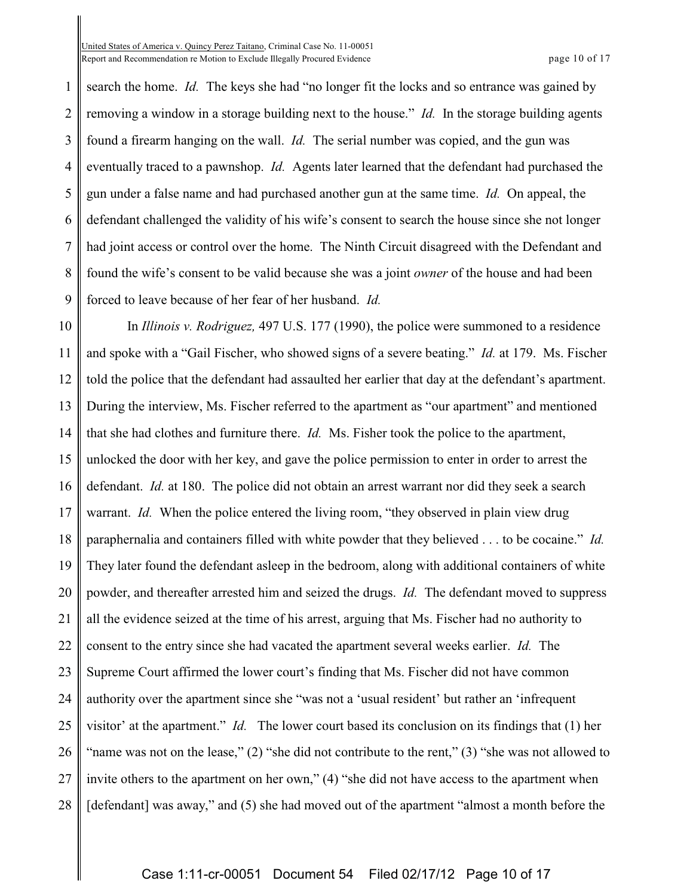United States of America v. Quincy Perez Taitano, Criminal Case No. 11-00051 Report and Recommendation re Motion to Exclude Illegally Procured Evidence **page 10** of 17

1 2 3 4 5 6 7 8 9 search the home. *Id.* The keys she had "no longer fit the locks and so entrance was gained by removing a window in a storage building next to the house." *Id.* In the storage building agents found a firearm hanging on the wall. *Id.* The serial number was copied, and the gun was eventually traced to a pawnshop. *Id.* Agents later learned that the defendant had purchased the gun under a false name and had purchased another gun at the same time. *Id.* On appeal, the defendant challenged the validity of his wife's consent to search the house since she not longer had joint access or control over the home. The Ninth Circuit disagreed with the Defendant and found the wife's consent to be valid because she was a joint *owner* of the house and had been forced to leave because of her fear of her husband. *Id.*

10 11 12 13 14 15 16 17 18 19 20 21 22 23 24 25 26 27 28 In *Illinois v. Rodriguez,* 497 U.S. 177 (1990), the police were summoned to a residence and spoke with a "Gail Fischer, who showed signs of a severe beating." *Id.* at 179. Ms. Fischer told the police that the defendant had assaulted her earlier that day at the defendant's apartment. During the interview, Ms. Fischer referred to the apartment as "our apartment" and mentioned that she had clothes and furniture there. *Id.* Ms. Fisher took the police to the apartment, unlocked the door with her key, and gave the police permission to enter in order to arrest the defendant. *Id.* at 180. The police did not obtain an arrest warrant nor did they seek a search warrant. *Id.* When the police entered the living room, "they observed in plain view drug paraphernalia and containers filled with white powder that they believed . . . to be cocaine." *Id.* They later found the defendant asleep in the bedroom, along with additional containers of white powder, and thereafter arrested him and seized the drugs. *Id.* The defendant moved to suppress all the evidence seized at the time of his arrest, arguing that Ms. Fischer had no authority to consent to the entry since she had vacated the apartment several weeks earlier. *Id.* The Supreme Court affirmed the lower court's finding that Ms. Fischer did not have common authority over the apartment since she "was not a 'usual resident' but rather an 'infrequent visitor' at the apartment." *Id.* The lower court based its conclusion on its findings that (1) her "name was not on the lease," (2) "she did not contribute to the rent," (3) "she was not allowed to invite others to the apartment on her own," (4) "she did not have access to the apartment when [defendant] was away," and (5) she had moved out of the apartment "almost a month before the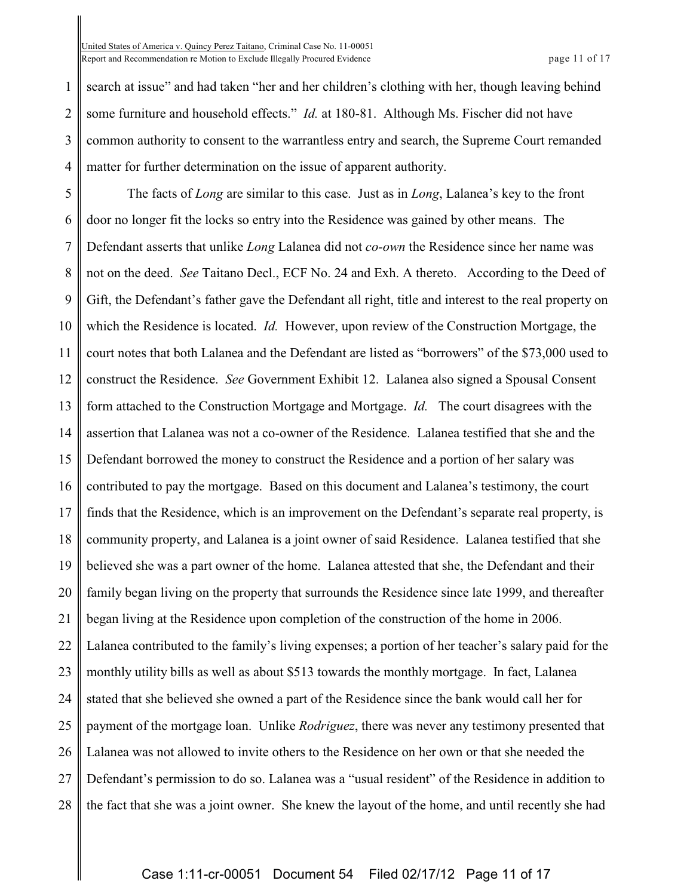1 2 3 4 search at issue" and had taken "her and her children's clothing with her, though leaving behind some furniture and household effects." *Id.* at 180-81. Although Ms. Fischer did not have common authority to consent to the warrantless entry and search, the Supreme Court remanded matter for further determination on the issue of apparent authority.

5 6 7 8 9 10 11 12 13 14 15 16 17 18 19 20 21 22 23 24 25 26 27 28 The facts of *Long* are similar to this case. Just as in *Long*, Lalanea's key to the front door no longer fit the locks so entry into the Residence was gained by other means. The Defendant asserts that unlike *Long* Lalanea did not *co-own* the Residence since her name was not on the deed. *See* Taitano Decl., ECF No. 24 and Exh. A thereto. According to the Deed of Gift, the Defendant's father gave the Defendant all right, title and interest to the real property on which the Residence is located. *Id.* However, upon review of the Construction Mortgage, the court notes that both Lalanea and the Defendant are listed as "borrowers" of the \$73,000 used to construct the Residence. *See* Government Exhibit 12. Lalanea also signed a Spousal Consent form attached to the Construction Mortgage and Mortgage. *Id.* The court disagrees with the assertion that Lalanea was not a co-owner of the Residence. Lalanea testified that she and the Defendant borrowed the money to construct the Residence and a portion of her salary was contributed to pay the mortgage. Based on this document and Lalanea's testimony, the court finds that the Residence, which is an improvement on the Defendant's separate real property, is community property, and Lalanea is a joint owner of said Residence. Lalanea testified that she believed she was a part owner of the home. Lalanea attested that she, the Defendant and their family began living on the property that surrounds the Residence since late 1999, and thereafter began living at the Residence upon completion of the construction of the home in 2006. Lalanea contributed to the family's living expenses; a portion of her teacher's salary paid for the monthly utility bills as well as about \$513 towards the monthly mortgage. In fact, Lalanea stated that she believed she owned a part of the Residence since the bank would call her for payment of the mortgage loan. Unlike *Rodriguez*, there was never any testimony presented that Lalanea was not allowed to invite others to the Residence on her own or that she needed the Defendant's permission to do so. Lalanea was a "usual resident" of the Residence in addition to the fact that she was a joint owner. She knew the layout of the home, and until recently she had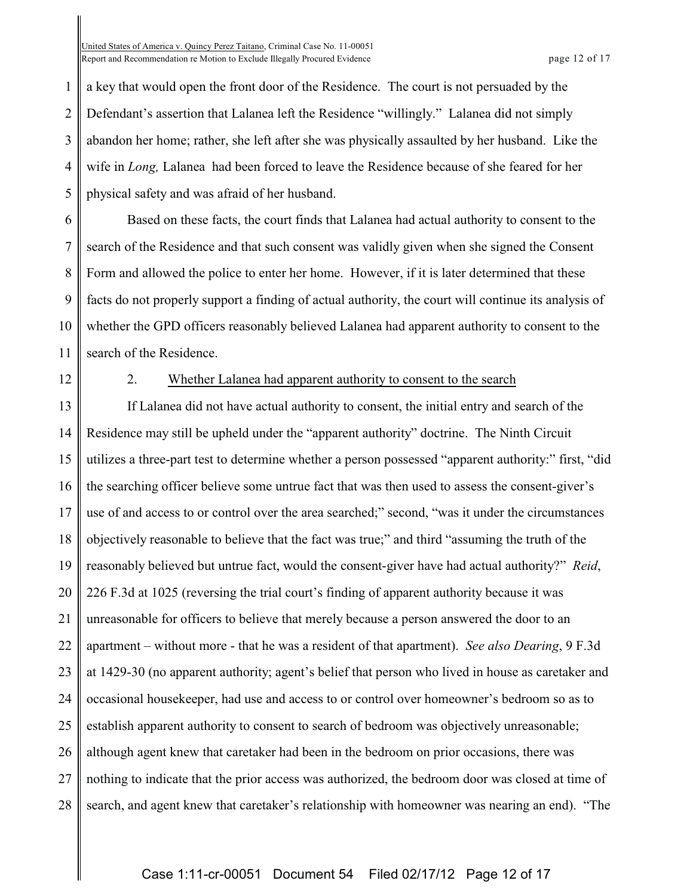1 2 3 4 5 a key that would open the front door of the Residence. The court is not persuaded by the Defendant's assertion that Lalanea left the Residence "willingly." Lalanea did not simply abandon her home; rather, she left after she was physically assaulted by her husband. Like the wife in *Long,* Lalanea had been forced to leave the Residence because of she feared for her physical safety and was afraid of her husband.

6 7 8 9 10 11 Based on these facts, the court finds that Lalanea had actual authority to consent to the search of the Residence and that such consent was validly given when she signed the Consent Form and allowed the police to enter her home. However, if it is later determined that these facts do not properly support a finding of actual authority, the court will continue its analysis of whether the GPD officers reasonably believed Lalanea had apparent authority to consent to the search of the Residence.

12

#### 2. Whether Lalanea had apparent authority to consent to the search

13 14 15 16 17 18 19 20 21 22 23 24 25 26 27 28 If Lalanea did not have actual authority to consent, the initial entry and search of the Residence may still be upheld under the "apparent authority" doctrine. The Ninth Circuit utilizes a three-part test to determine whether a person possessed "apparent authority:" first, "did the searching officer believe some untrue fact that was then used to assess the consent-giver's use of and access to or control over the area searched;" second, "was it under the circumstances objectively reasonable to believe that the fact was true;" and third "assuming the truth of the reasonably believed but untrue fact, would the consent-giver have had actual authority?" *Reid*, 226 F.3d at 1025 (reversing the trial court's finding of apparent authority because it was unreasonable for officers to believe that merely because a person answered the door to an apartment – without more - that he was a resident of that apartment). *See also Dearing*, 9 F.3d at 1429-30 (no apparent authority; agent's belief that person who lived in house as caretaker and occasional housekeeper, had use and access to or control over homeowner's bedroom so as to establish apparent authority to consent to search of bedroom was objectively unreasonable; although agent knew that caretaker had been in the bedroom on prior occasions, there was nothing to indicate that the prior access was authorized, the bedroom door was closed at time of search, and agent knew that caretaker's relationship with homeowner was nearing an end). "The

### Case 1:11-cr-00051 Document 54 Filed 02/17/12 Page 12 of 17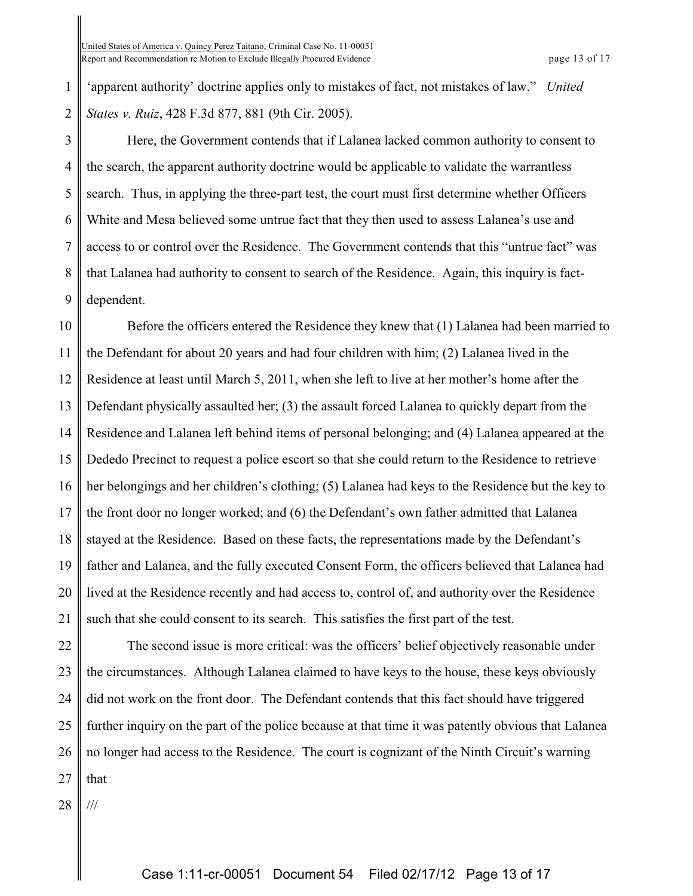1 2 'apparent authority' doctrine applies only to mistakes of fact, not mistakes of law." *United States v. Ruiz*, 428 F.3d 877, 881 (9th Cir. 2005).

3 4 5 6 7 8 9 Here, the Government contends that if Lalanea lacked common authority to consent to the search, the apparent authority doctrine would be applicable to validate the warrantless search. Thus, in applying the three-part test, the court must first determine whether Officers White and Mesa believed some untrue fact that they then used to assess Lalanea's use and access to or control over the Residence. The Government contends that this "untrue fact" was that Lalanea had authority to consent to search of the Residence. Again, this inquiry is factdependent.

10 11 12 13 14 15 16 17 18 19 20 21 Before the officers entered the Residence they knew that (1) Lalanea had been married to the Defendant for about 20 years and had four children with him; (2) Lalanea lived in the Residence at least until March 5, 2011, when she left to live at her mother's home after the Defendant physically assaulted her; (3) the assault forced Lalanea to quickly depart from the Residence and Lalanea left behind items of personal belonging; and (4) Lalanea appeared at the Dededo Precinct to request a police escort so that she could return to the Residence to retrieve her belongings and her children's clothing; (5) Lalanea had keys to the Residence but the key to the front door no longer worked; and (6) the Defendant's own father admitted that Lalanea stayed at the Residence. Based on these facts, the representations made by the Defendant's father and Lalanea, and the fully executed Consent Form, the officers believed that Lalanea had lived at the Residence recently and had access to, control of, and authority over the Residence such that she could consent to its search. This satisfies the first part of the test.

22 23 24 25 26 27 The second issue is more critical: was the officers' belief objectively reasonable under the circumstances. Although Lalanea claimed to have keys to the house, these keys obviously did not work on the front door. The Defendant contends that this fact should have triggered further inquiry on the part of the police because at that time it was patently obvious that Lalanea no longer had access to the Residence. The court is cognizant of the Ninth Circuit's warning that

28 ///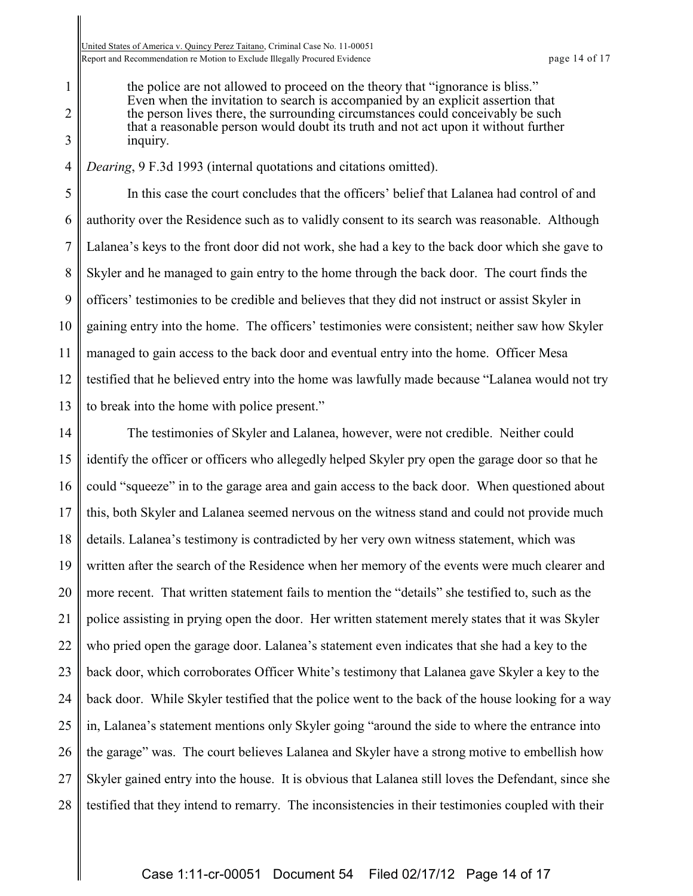1

2

3

the police are not allowed to proceed on the theory that "ignorance is bliss." Even when the invitation to search is accompanied by an explicit assertion that the person lives there, the surrounding circumstances could conceivably be such that a reasonable person would doubt its truth and not act upon it without further inquiry.

4 *Dearing*, 9 F.3d 1993 (internal quotations and citations omitted).

5 6 7 8 9 10 11 12 13 In this case the court concludes that the officers' belief that Lalanea had control of and authority over the Residence such as to validly consent to its search was reasonable. Although Lalanea's keys to the front door did not work, she had a key to the back door which she gave to Skyler and he managed to gain entry to the home through the back door. The court finds the officers' testimonies to be credible and believes that they did not instruct or assist Skyler in gaining entry into the home. The officers' testimonies were consistent; neither saw how Skyler managed to gain access to the back door and eventual entry into the home. Officer Mesa testified that he believed entry into the home was lawfully made because "Lalanea would not try to break into the home with police present."

14 15 16 17 18 19 20 21 22 23 24 25 26 27 28 The testimonies of Skyler and Lalanea, however, were not credible. Neither could identify the officer or officers who allegedly helped Skyler pry open the garage door so that he could "squeeze" in to the garage area and gain access to the back door. When questioned about this, both Skyler and Lalanea seemed nervous on the witness stand and could not provide much details. Lalanea's testimony is contradicted by her very own witness statement, which was written after the search of the Residence when her memory of the events were much clearer and more recent. That written statement fails to mention the "details" she testified to, such as the police assisting in prying open the door. Her written statement merely states that it was Skyler who pried open the garage door. Lalanea's statement even indicates that she had a key to the back door, which corroborates Officer White's testimony that Lalanea gave Skyler a key to the back door. While Skyler testified that the police went to the back of the house looking for a way in, Lalanea's statement mentions only Skyler going "around the side to where the entrance into the garage" was. The court believes Lalanea and Skyler have a strong motive to embellish how Skyler gained entry into the house. It is obvious that Lalanea still loves the Defendant, since she testified that they intend to remarry. The inconsistencies in their testimonies coupled with their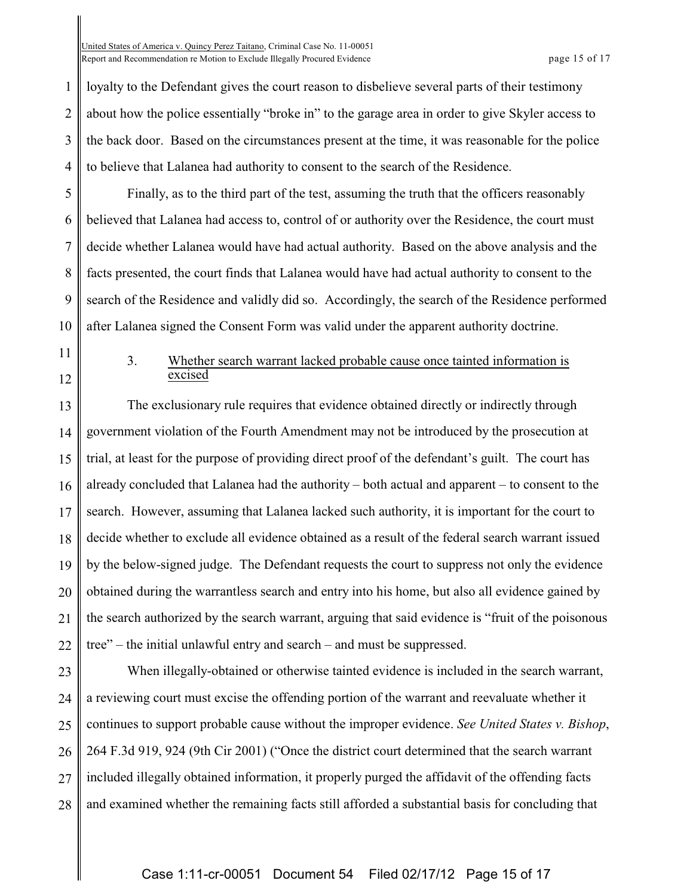2 3 4 loyalty to the Defendant gives the court reason to disbelieve several parts of their testimony about how the police essentially "broke in" to the garage area in order to give Skyler access to the back door. Based on the circumstances present at the time, it was reasonable for the police to believe that Lalanea had authority to consent to the search of the Residence.

5 6 7 8 9 10 Finally, as to the third part of the test, assuming the truth that the officers reasonably believed that Lalanea had access to, control of or authority over the Residence, the court must decide whether Lalanea would have had actual authority. Based on the above analysis and the facts presented, the court finds that Lalanea would have had actual authority to consent to the search of the Residence and validly did so. Accordingly, the search of the Residence performed after Lalanea signed the Consent Form was valid under the apparent authority doctrine.

11

1

12

### 3. Whether search warrant lacked probable cause once tainted information is excised

13 14 15 16 17 18 19 20 21 22 The exclusionary rule requires that evidence obtained directly or indirectly through government violation of the Fourth Amendment may not be introduced by the prosecution at trial, at least for the purpose of providing direct proof of the defendant's guilt. The court has already concluded that Lalanea had the authority – both actual and apparent – to consent to the search. However, assuming that Lalanea lacked such authority, it is important for the court to decide whether to exclude all evidence obtained as a result of the federal search warrant issued by the below-signed judge. The Defendant requests the court to suppress not only the evidence obtained during the warrantless search and entry into his home, but also all evidence gained by the search authorized by the search warrant, arguing that said evidence is "fruit of the poisonous tree" – the initial unlawful entry and search – and must be suppressed.

23 24 25 26 27 28 When illegally-obtained or otherwise tainted evidence is included in the search warrant, a reviewing court must excise the offending portion of the warrant and reevaluate whether it continues to support probable cause without the improper evidence. *See United States v. Bishop*, 264 F.3d 919, 924 (9th Cir 2001) ("Once the district court determined that the search warrant included illegally obtained information, it properly purged the affidavit of the offending facts and examined whether the remaining facts still afforded a substantial basis for concluding that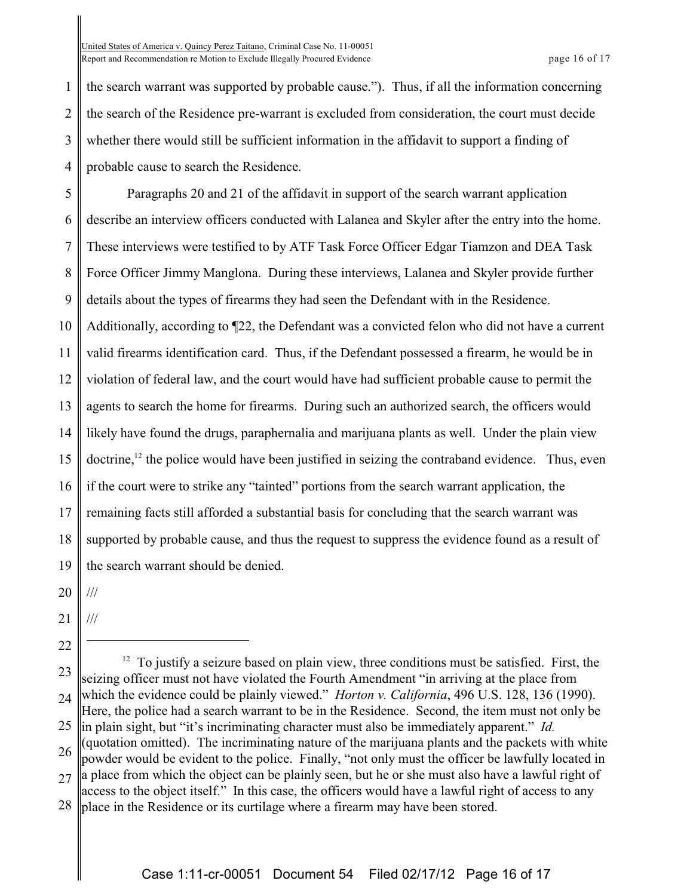1 2 3 4 the search warrant was supported by probable cause."). Thus, if all the information concerning the search of the Residence pre-warrant is excluded from consideration, the court must decide whether there would still be sufficient information in the affidavit to support a finding of probable cause to search the Residence.

5 6 7 8 9 10 11 12 13 14 15 16 17 18 19 Paragraphs 20 and 21 of the affidavit in support of the search warrant application describe an interview officers conducted with Lalanea and Skyler after the entry into the home. These interviews were testified to by ATF Task Force Officer Edgar Tiamzon and DEA Task Force Officer Jimmy Manglona. During these interviews, Lalanea and Skyler provide further details about the types of firearms they had seen the Defendant with in the Residence. Additionally, according to ¶22, the Defendant was a convicted felon who did not have a current valid firearms identification card. Thus, if the Defendant possessed a firearm, he would be in violation of federal law, and the court would have had sufficient probable cause to permit the agents to search the home for firearms. During such an authorized search, the officers would likely have found the drugs, paraphernalia and marijuana plants as well. Under the plain view doctrine,<sup>12</sup> the police would have been justified in seizing the contraband evidence. Thus, even if the court were to strike any "tainted" portions from the search warrant application, the remaining facts still afforded a substantial basis for concluding that the search warrant was supported by probable cause, and thus the request to suppress the evidence found as a result of the search warrant should be denied.

20 ///

- 21 ///
- 22

23 24 25 26 27  $12$  To justify a seizure based on plain view, three conditions must be satisfied. First, the seizing officer must not have violated the Fourth Amendment "in arriving at the place from which the evidence could be plainly viewed." *Horton v. California*, 496 U.S. 128, 136 (1990). Here, the police had a search warrant to be in the Residence. Second, the item must not only be in plain sight, but "it's incriminating character must also be immediately apparent." *Id.* (quotation omitted). The incriminating nature of the marijuana plants and the packets with white powder would be evident to the police. Finally, "not only must the officer be lawfully located in a place from which the object can be plainly seen, but he or she must also have a lawful right of access to the object itself." In this case, the officers would have a lawful right of access to any

28 place in the Residence or its curtilage where a firearm may have been stored.